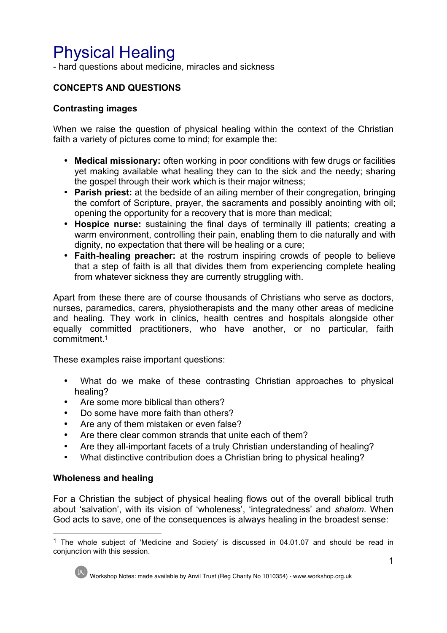# Physical Healing

- hard questions about medicine, miracles and sickness

# **CONCEPTS AND QUESTIONS**

#### **Contrasting images**

When we raise the question of physical healing within the context of the Christian faith a variety of pictures come to mind; for example the:

- **Medical missionary:** often working in poor conditions with few drugs or facilities yet making available what healing they can to the sick and the needy; sharing the gospel through their work which is their major witness;
- **Parish priest:** at the bedside of an ailing member of their congregation, bringing the comfort of Scripture, prayer, the sacraments and possibly anointing with oil; opening the opportunity for a recovery that is more than medical;
- **Hospice nurse:** sustaining the final days of terminally ill patients; creating a warm environment, controlling their pain, enabling them to die naturally and with dignity, no expectation that there will be healing or a cure;
- **Faith-healing preacher:** at the rostrum inspiring crowds of people to believe that a step of faith is all that divides them from experiencing complete healing from whatever sickness they are currently struggling with.

Apart from these there are of course thousands of Christians who serve as doctors, nurses, paramedics, carers, physiotherapists and the many other areas of medicine and healing. They work in clinics, health centres and hospitals alongside other equally committed practitioners, who have another, or no particular, faith commitment.1

These examples raise important questions:

- What do we make of these contrasting Christian approaches to physical healing?
- Are some more biblical than others?
- Do some have more faith than others?
- Are any of them mistaken or even false?
- Are there clear common strands that unite each of them?
- Are they all-important facets of a truly Christian understanding of healing?
- What distinctive contribution does a Christian bring to physical healing?

#### **Wholeness and healing**

For a Christian the subject of physical healing flows out of the overall biblical truth about 'salvation', with its vision of 'wholeness', 'integratedness' and *shalom*. When God acts to save, one of the consequences is always healing in the broadest sense:

<sup>&</sup>lt;sup>1</sup> The whole subject of 'Medicine and Society' is discussed in 04.01.07 and should be read in conjunction with this session.



Workshop Notes: made available by Anvil Trust (Reg Charity No 1010354) - www.workshop.org.uk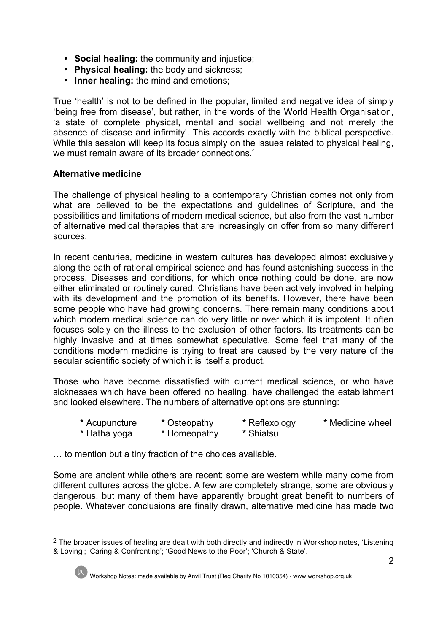- **Social healing:** the community and injustice;
- **Physical healing:** the body and sickness;
- **Inner healing:** the mind and emotions;

True 'health' is not to be defined in the popular, limited and negative idea of simply 'being free from disease', but rather, in the words of the World Health Organisation, 'a state of complete physical, mental and social wellbeing and not merely the absence of disease and infirmity'. This accords exactly with the biblical perspective. While this session will keep its focus simply on the issues related to physical healing, we must remain aware of its broader connections.<sup>2</sup>

# **Alternative medicine**

The challenge of physical healing to a contemporary Christian comes not only from what are believed to be the expectations and guidelines of Scripture, and the possibilities and limitations of modern medical science, but also from the vast number of alternative medical therapies that are increasingly on offer from so many different sources.

In recent centuries, medicine in western cultures has developed almost exclusively along the path of rational empirical science and has found astonishing success in the process. Diseases and conditions, for which once nothing could be done, are now either eliminated or routinely cured. Christians have been actively involved in helping with its development and the promotion of its benefits. However, there have been some people who have had growing concerns. There remain many conditions about which modern medical science can do very little or over which it is impotent. It often focuses solely on the illness to the exclusion of other factors. Its treatments can be highly invasive and at times somewhat speculative. Some feel that many of the conditions modern medicine is trying to treat are caused by the very nature of the secular scientific society of which it is itself a product.

Those who have become dissatisfied with current medical science, or who have sicknesses which have been offered no healing, have challenged the establishment and looked elsewhere. The numbers of alternative options are stunning:

**\*** Acupuncture **\*** Osteopathy **\*** Reflexology **\*** Medicine wheel **\*** Hatha yoga **\*** Homeopathy **\*** Shiatsu

… to mention but a tiny fraction of the choices available.

Some are ancient while others are recent; some are western while many come from different cultures across the globe. A few are completely strange, some are obviously dangerous, but many of them have apparently brought great benefit to numbers of people. Whatever conclusions are finally drawn, alternative medicine has made two

 $2$  The broader issues of healing are dealt with both directly and indirectly in Workshop notes, 'Listening & Loving'; 'Caring & Confronting'; 'Good News to the Poor'; 'Church & State'.



Workshop Notes: made available by Anvil Trust (Reg Charity No 1010354) - www.workshop.org.uk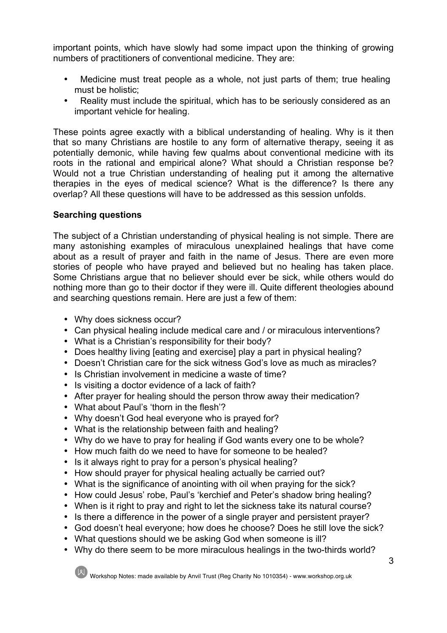important points, which have slowly had some impact upon the thinking of growing numbers of practitioners of conventional medicine. They are:

- Medicine must treat people as a whole, not just parts of them; true healing must be holistic;
- Reality must include the spiritual, which has to be seriously considered as an important vehicle for healing.

These points agree exactly with a biblical understanding of healing. Why is it then that so many Christians are hostile to any form of alternative therapy, seeing it as potentially demonic, while having few qualms about conventional medicine with its roots in the rational and empirical alone? What should a Christian response be? Would not a true Christian understanding of healing put it among the alternative therapies in the eyes of medical science? What is the difference? Is there any overlap? All these questions will have to be addressed as this session unfolds.

#### **Searching questions**

The subject of a Christian understanding of physical healing is not simple. There are many astonishing examples of miraculous unexplained healings that have come about as a result of prayer and faith in the name of Jesus. There are even more stories of people who have prayed and believed but no healing has taken place. Some Christians argue that no believer should ever be sick, while others would do nothing more than go to their doctor if they were ill. Quite different theologies abound and searching questions remain. Here are just a few of them:

- Why does sickness occur?
- Can physical healing include medical care and / or miraculous interventions?
- What is a Christian's responsibility for their body?
- Does healthy living [eating and exercise] play a part in physical healing?
- Doesn't Christian care for the sick witness God's love as much as miracles?
- Is Christian involvement in medicine a waste of time?
- Is visiting a doctor evidence of a lack of faith?
- After prayer for healing should the person throw away their medication?
- What about Paul's 'thorn in the flesh'?
- Why doesn't God heal everyone who is prayed for?
- What is the relationship between faith and healing?
- Why do we have to pray for healing if God wants every one to be whole?
- How much faith do we need to have for someone to be healed?
- Is it always right to pray for a person's physical healing?
- How should prayer for physical healing actually be carried out?
- What is the significance of anointing with oil when praying for the sick?
- How could Jesus' robe, Paul's 'kerchief and Peter's shadow bring healing?
- When is it right to pray and right to let the sickness take its natural course?
- Is there a difference in the power of a single prayer and persistent prayer?
- God doesn't heal everyone; how does he choose? Does he still love the sick?
- What questions should we be asking God when someone is ill?
- Why do there seem to be more miraculous healings in the two-thirds world?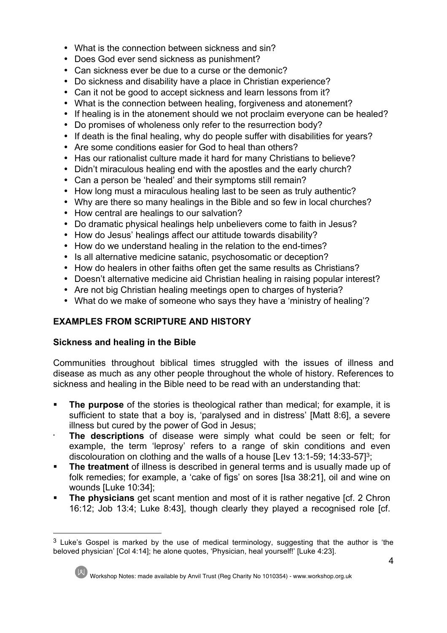- What is the connection between sickness and sin?
- Does God ever send sickness as punishment?
- Can sickness ever be due to a curse or the demonic?
- Do sickness and disability have a place in Christian experience?
- Can it not be good to accept sickness and learn lessons from it?
- What is the connection between healing, forgiveness and atonement?
- If healing is in the atonement should we not proclaim everyone can be healed?
- Do promises of wholeness only refer to the resurrection body?
- If death is the final healing, why do people suffer with disabilities for years?
- Are some conditions easier for God to heal than others?
- Has our rationalist culture made it hard for many Christians to believe?
- Didn't miraculous healing end with the apostles and the early church?
- Can a person be 'healed' and their symptoms still remain?
- How long must a miraculous healing last to be seen as truly authentic?
- Why are there so many healings in the Bible and so few in local churches?
- How central are healings to our salvation?
- Do dramatic physical healings help unbelievers come to faith in Jesus?
- How do Jesus' healings affect our attitude towards disability?
- How do we understand healing in the relation to the end-times?
- Is all alternative medicine satanic, psychosomatic or deception?
- How do healers in other faiths often get the same results as Christians?
- Doesn't alternative medicine aid Christian healing in raising popular interest?
- Are not big Christian healing meetings open to charges of hysteria?
- What do we make of someone who says they have a 'ministry of healing'?

# **EXAMPLES FROM SCRIPTURE AND HISTORY**

# **Sickness and healing in the Bible**

Communities throughout biblical times struggled with the issues of illness and disease as much as any other people throughout the whole of history. References to sickness and healing in the Bible need to be read with an understanding that:

- **The purpose** of the stories is theological rather than medical; for example, it is sufficient to state that a boy is, 'paralysed and in distress' [Matt 8:6], a severe illness but cured by the power of God in Jesus;
- **The descriptions** of disease were simply what could be seen or felt; for example, the term 'leprosy' refers to a range of skin conditions and even discolouration on clothing and the walls of a house [Lev 13:1-59; 14:33-57]3;
- **The treatment** of illness is described in general terms and is usually made up of folk remedies; for example, a 'cake of figs' on sores [Isa 38:21], oil and wine on wounds [Luke 10:34];
- **The physicians** get scant mention and most of it is rather negative [cf. 2 Chron 16:12; Job 13:4; Luke 8:43], though clearly they played a recognised role [cf.

 $3$  Luke's Gospel is marked by the use of medical terminology, suggesting that the author is 'the beloved physician' [Col 4:14]; he alone quotes, 'Physician, heal yourself!' [Luke 4:23].

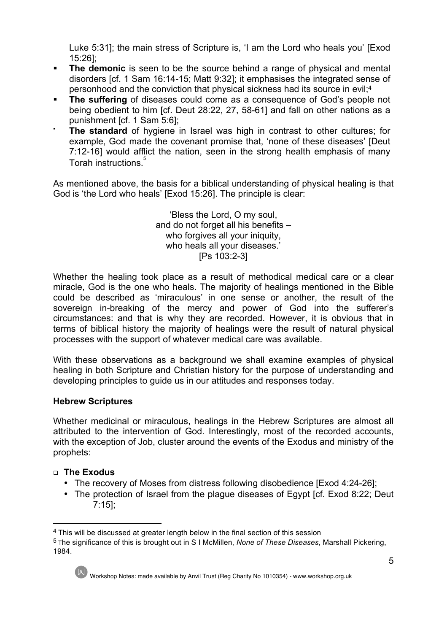Luke 5:31]; the main stress of Scripture is, 'I am the Lord who heals you' [Exod 15:26];

- **The demonic** is seen to be the source behind a range of physical and mental disorders [cf. 1 Sam 16:14-15; Matt 9:32]; it emphasises the integrated sense of personhood and the conviction that physical sickness had its source in evil;4
- **The suffering** of diseases could come as a consequence of God's people not being obedient to him [cf. Deut 28:22, 27, 58-61] and fall on other nations as a punishment [cf. 1 Sam 5:6];
- **The standard** of hygiene in Israel was high in contrast to other cultures; for example, God made the covenant promise that, 'none of these diseases' [Deut 7:12-16] would afflict the nation, seen in the strong health emphasis of many Torah instructions<sup>5</sup>

As mentioned above, the basis for a biblical understanding of physical healing is that God is 'the Lord who heals' [Exod 15:26]. The principle is clear:

> 'Bless the Lord, O my soul, and do not forget all his benefits – who forgives all your iniquity, who heals all your diseases.' [Ps 103:2-3]

Whether the healing took place as a result of methodical medical care or a clear miracle, God is the one who heals. The majority of healings mentioned in the Bible could be described as 'miraculous' in one sense or another, the result of the sovereign in-breaking of the mercy and power of God into the sufferer's circumstances: and that is why they are recorded. However, it is obvious that in terms of biblical history the majority of healings were the result of natural physical processes with the support of whatever medical care was available.

With these observations as a background we shall examine examples of physical healing in both Scripture and Christian history for the purpose of understanding and developing principles to guide us in our attitudes and responses today.

# **Hebrew Scriptures**

Whether medicinal or miraculous, healings in the Hebrew Scriptures are almost all attributed to the intervention of God. Interestingly, most of the recorded accounts, with the exception of Job, cluster around the events of the Exodus and ministry of the prophets:

#### <sup>q</sup> **The Exodus**

- The recovery of Moses from distress following disobedience [Exod 4:24-26];
- The protection of Israel from the plague diseases of Egypt [cf. Exod 8:22; Deut 7:15];

<sup>5</sup> The significance of this is brought out in S I McMillen, *None of These Diseases*, Marshall Pickering, 1984.



<sup>&</sup>lt;sup>4</sup> This will be discussed at greater length below in the final section of this session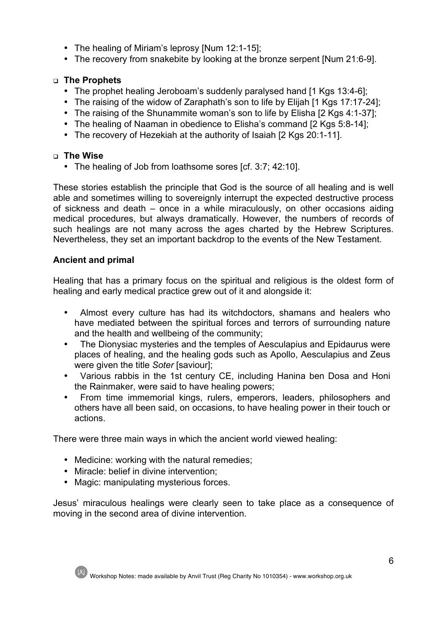- The healing of Miriam's leprosy [Num 12:1-15];
- The recovery from snakebite by looking at the bronze serpent [Num 21:6-9].

# <sup>q</sup> **The Prophets**

- The prophet healing Jeroboam's suddenly paralysed hand [1 Kgs 13:4-6];
- The raising of the widow of Zaraphath's son to life by Elijah [1 Kgs 17:17-24];
- The raising of the Shunammite woman's son to life by Elisha [2 Kgs 4:1-37];
- The healing of Naaman in obedience to Elisha's command [2 Kgs 5:8-14];
- The recovery of Hezekiah at the authority of Isaiah [2 Kgs 20:1-11].

# <sup>q</sup> **The Wise**

• The healing of Job from loathsome sores [cf. 3:7; 42:10].

These stories establish the principle that God is the source of all healing and is well able and sometimes willing to sovereignly interrupt the expected destructive process of sickness and death – once in a while miraculously, on other occasions aiding medical procedures, but always dramatically. However, the numbers of records of such healings are not many across the ages charted by the Hebrew Scriptures. Nevertheless, they set an important backdrop to the events of the New Testament.

# **Ancient and primal**

Healing that has a primary focus on the spiritual and religious is the oldest form of healing and early medical practice grew out of it and alongside it:

- Almost every culture has had its witchdoctors, shamans and healers who have mediated between the spiritual forces and terrors of surrounding nature and the health and wellbeing of the community;
- The Dionysiac mysteries and the temples of Aesculapius and Epidaurus were places of healing, and the healing gods such as Apollo, Aesculapius and Zeus were given the title *Soter* [saviour];
- Various rabbis in the 1st century CE, including Hanina ben Dosa and Honi the Rainmaker, were said to have healing powers;
- From time immemorial kings, rulers, emperors, leaders, philosophers and others have all been said, on occasions, to have healing power in their touch or actions.

There were three main ways in which the ancient world viewed healing:

- Medicine: working with the natural remedies;
- Miracle: belief in divine intervention;
- Magic: manipulating mysterious forces.

Jesus' miraculous healings were clearly seen to take place as a consequence of moving in the second area of divine intervention.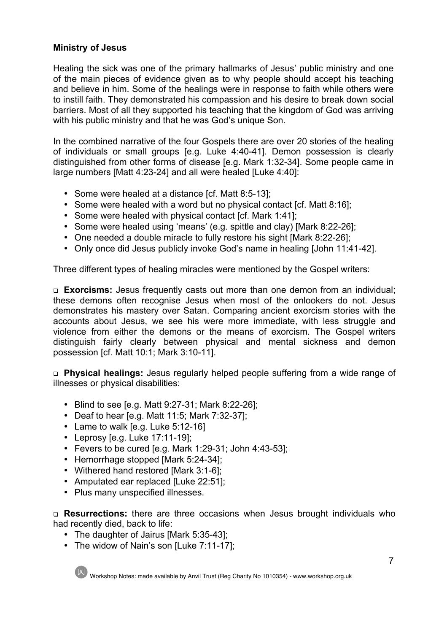# **Ministry of Jesus**

Healing the sick was one of the primary hallmarks of Jesus' public ministry and one of the main pieces of evidence given as to why people should accept his teaching and believe in him. Some of the healings were in response to faith while others were to instill faith. They demonstrated his compassion and his desire to break down social barriers. Most of all they supported his teaching that the kingdom of God was arriving with his public ministry and that he was God's unique Son.

In the combined narrative of the four Gospels there are over 20 stories of the healing of individuals or small groups [e.g. Luke 4:40-41]. Demon possession is clearly distinguished from other forms of disease [e.g. Mark 1:32-34]. Some people came in large numbers [Matt 4:23-24] and all were healed [Luke 4:40]:

- Some were healed at a distance [cf. Matt 8:5-13];
- Some were healed with a word but no physical contact [cf. Matt 8:16];
- Some were healed with physical contact [cf. Mark 1:41];
- Some were healed using 'means' (e.g. spittle and clay) [Mark 8:22-26];
- One needed a double miracle to fully restore his sight [Mark 8:22-26];
- Only once did Jesus publicly invoke God's name in healing [John 11:41-42].

Three different types of healing miracles were mentioned by the Gospel writers:

<sup>q</sup> **Exorcisms:** Jesus frequently casts out more than one demon from an individual; these demons often recognise Jesus when most of the onlookers do not. Jesus demonstrates his mastery over Satan. Comparing ancient exorcism stories with the accounts about Jesus, we see his were more immediate, with less struggle and violence from either the demons or the means of exorcism. The Gospel writers distinguish fairly clearly between physical and mental sickness and demon possession [cf. Matt 10:1; Mark 3:10-11].

<sup>q</sup> **Physical healings:** Jesus regularly helped people suffering from a wide range of illnesses or physical disabilities:

- Blind to see [e.g. Matt 9:27-31; Mark 8:22-26];
- Deaf to hear [e.g. Matt 11:5; Mark 7:32-37];
- Lame to walk [e.g. Luke 5:12-16]
- Leprosy [e.g. Luke 17:11-19];
- Fevers to be cured [e.g. Mark 1:29-31; John 4:43-53];
- Hemorrhage stopped [Mark 5:24-34];
- Withered hand restored [Mark 3:1-6];
- Amputated ear replaced [Luke 22:51];
- Plus many unspecified illnesses.

<sup>q</sup> **Resurrections:** there are three occasions when Jesus brought individuals who had recently died, back to life:

- The daughter of Jairus [Mark 5:35-43];
- The widow of Nain's son [Luke 7:11-17];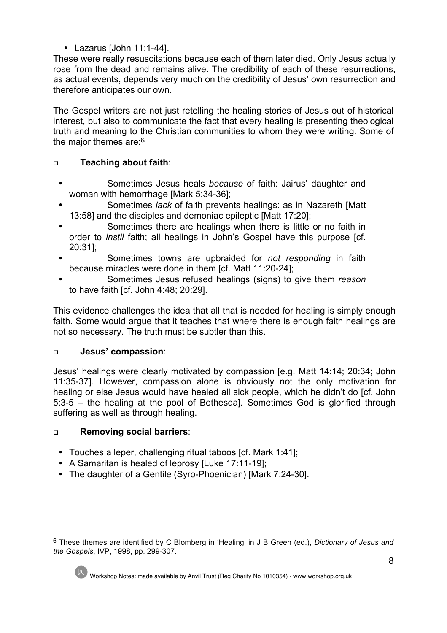• Lazarus [John 11:1-44].

These were really resuscitations because each of them later died. Only Jesus actually rose from the dead and remains alive. The credibility of each of these resurrections, as actual events, depends very much on the credibility of Jesus' own resurrection and therefore anticipates our own.

The Gospel writers are not just retelling the healing stories of Jesus out of historical interest, but also to communicate the fact that every healing is presenting theological truth and meaning to the Christian communities to whom they were writing. Some of the major themes are: <sup>6:</sup>

# <sup>q</sup> **Teaching about faith**:

- Sometimes Jesus heals *because* of faith: Jairus' daughter and woman with hemorrhage [Mark 5:34-36];
- Sometimes *lack* of faith prevents healings: as in Nazareth [Matt 13:58] and the disciples and demoniac epileptic [Matt 17:20];
- Sometimes there are healings when there is little or no faith in order to *instil* faith; all healings in John's Gospel have this purpose [cf. 20:31];
- Sometimes towns are upbraided for *not responding* in faith because miracles were done in them [cf. Matt 11:20-24];
- Sometimes Jesus refused healings (signs) to give them *reason* to have faith [cf. John 4:48; 20:29].

This evidence challenges the idea that all that is needed for healing is simply enough faith. Some would argue that it teaches that where there is enough faith healings are not so necessary. The truth must be subtler than this.

# <sup>q</sup> **Jesus' compassion**:

Jesus' healings were clearly motivated by compassion [e.g. Matt 14:14; 20:34; John 11:35-37]. However, compassion alone is obviously not the only motivation for healing or else Jesus would have healed all sick people, which he didn't do [cf. John 5:3-5 – the healing at the pool of Bethesda]. Sometimes God is glorified through suffering as well as through healing.

# <sup>q</sup> **Removing social barriers**:

- Touches a leper, challenging ritual taboos [cf. Mark 1:41];
- A Samaritan is healed of leprosy [Luke 17:11-19];
- The daughter of a Gentile (Syro-Phoenician) [Mark 7:24-30].

 <sup>6</sup> These themes are identified by C Blomberg in 'Healing' in J B Green (ed.), *Dictionary of Jesus and the Gospels*, IVP, 1998, pp. 299-307.



Workshop Notes: made available by Anvil Trust (Reg Charity No 1010354) - www.workshop.org.uk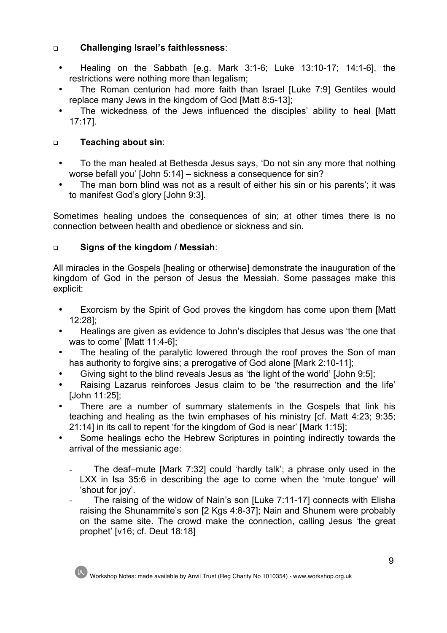# <sup>q</sup> **Challenging Israel's faithlessness**:

- Healing on the Sabbath [e.g. Mark 3:1-6; Luke 13:10-17; 14:1-6], the restrictions were nothing more than legalism;
- The Roman centurion had more faith than Israel [Luke 7:9] Gentiles would replace many Jews in the kingdom of God [Matt 8:5-13];
- The wickedness of the Jews influenced the disciples' ability to heal [Matt 17:17].

# <sup>q</sup> **Teaching about sin**:

- To the man healed at Bethesda Jesus says, 'Do not sin any more that nothing worse befall you' [John 5:14] – sickness a consequence for sin?
- The man born blind was not as a result of either his sin or his parents'; it was to manifest God's glory [John 9:3].

Sometimes healing undoes the consequences of sin; at other times there is no connection between health and obedience or sickness and sin.

# <sup>q</sup> **Signs of the kingdom / Messiah**:

All miracles in the Gospels [healing or otherwise] demonstrate the inauguration of the kingdom of God in the person of Jesus the Messiah. Some passages make this explicit:

- Exorcism by the Spirit of God proves the kingdom has come upon them [Matt 12:28];
- Healings are given as evidence to John's disciples that Jesus was 'the one that was to come' [Matt 11:4-6];
- The healing of the paralytic lowered through the roof proves the Son of man has authority to forgive sins; a prerogative of God alone [Mark 2:10-11];
- Giving sight to the blind reveals Jesus as 'the light of the world' [John 9:5];
- Raising Lazarus reinforces Jesus claim to be 'the resurrection and the life' [John 11:25];
- There are a number of summary statements in the Gospels that link his teaching and healing as the twin emphases of his ministry [cf. Matt 4:23; 9:35; 21:14] in its call to repent 'for the kingdom of God is near' [Mark 1:15];
- Some healings echo the Hebrew Scriptures in pointing indirectly towards the arrival of the messianic age:
	- The deaf–mute [Mark 7:32] could 'hardly talk'; a phrase only used in the LXX in Isa 35:6 in describing the age to come when the 'mute tongue' will 'shout for joy'.
	- The raising of the widow of Nain's son [Luke 7:11-17] connects with Elisha raising the Shunammite's son [2 Kgs 4:8-37]; Nain and Shunem were probably on the same site. The crowd make the connection, calling Jesus 'the great prophet' [v16; cf. Deut 18:18]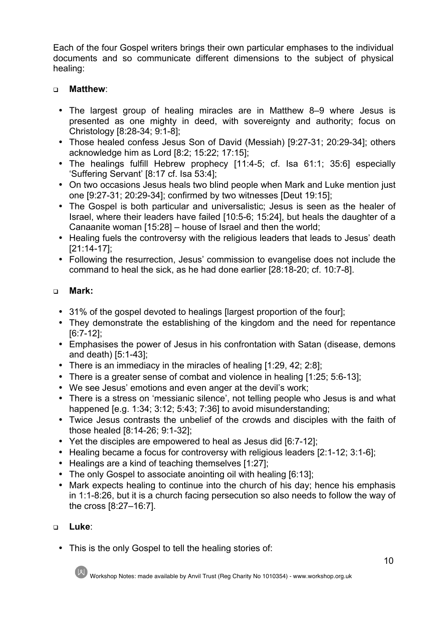Each of the four Gospel writers brings their own particular emphases to the individual documents and so communicate different dimensions to the subject of physical healing:

# <sup>q</sup> **Matthew**:

- The largest group of healing miracles are in Matthew 8–9 where Jesus is presented as one mighty in deed, with sovereignty and authority; focus on Christology [8:28-34; 9:1-8];
- Those healed confess Jesus Son of David (Messiah) [9:27-31; 20:29-34]; others acknowledge him as Lord [8:2; 15:22; 17:15];
- The healings fulfill Hebrew prophecy [11:4-5; cf. Isa 61:1; 35:6] especially 'Suffering Servant' [8:17 cf. Isa 53:4];
- On two occasions Jesus heals two blind people when Mark and Luke mention just one [9:27-31; 20:29-34]; confirmed by two witnesses [Deut 19:15];
- The Gospel is both particular and universalistic; Jesus is seen as the healer of Israel, where their leaders have failed [10:5-6; 15:24], but heals the daughter of a Canaanite woman [15:28] – house of Israel and then the world;
- Healing fuels the controversy with the religious leaders that leads to Jesus' death [21:14-17];
- Following the resurrection, Jesus' commission to evangelise does not include the command to heal the sick, as he had done earlier [28:18-20; cf. 10:7-8].

# <sup>q</sup> **Mark:**

- 31% of the gospel devoted to healings largest proportion of the fourl;
- They demonstrate the establishing of the kingdom and the need for repentance [6:7-12];
- Emphasises the power of Jesus in his confrontation with Satan (disease, demons and death) [5:1-43];
- There is an immediacy in the miracles of healing [1:29, 42; 2:8];
- There is a greater sense of combat and violence in healing [1:25; 5:6-13];
- We see Jesus' emotions and even anger at the devil's work;
- There is a stress on 'messianic silence', not telling people who Jesus is and what happened [e.g. 1:34; 3:12; 5:43; 7:36] to avoid misunderstanding;
- Twice Jesus contrasts the unbelief of the crowds and disciples with the faith of those healed [8:14-26; 9:1-32];
- Yet the disciples are empowered to heal as Jesus did [6:7-12];
- Healing became a focus for controversy with religious leaders [2:1-12; 3:1-6];
- Healings are a kind of teaching themselves [1:27];
- The only Gospel to associate anointing oil with healing [6:13]:
- Mark expects healing to continue into the church of his day; hence his emphasis in 1:1-8:26, but it is a church facing persecution so also needs to follow the way of the cross [8:27–16:7].

# <sup>q</sup> **Luke**:

• This is the only Gospel to tell the healing stories of: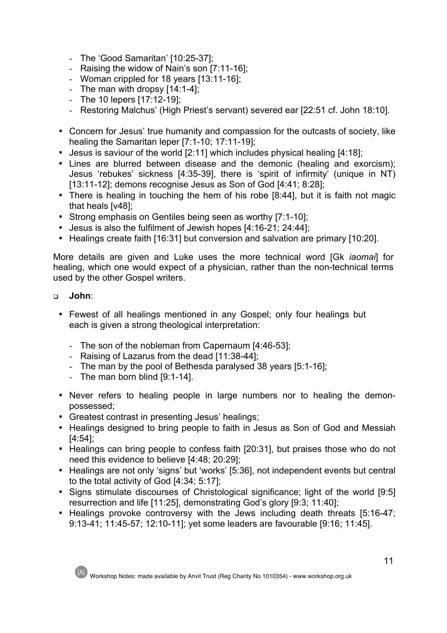- The 'Good Samaritan' [10:25-37];
- Raising the widow of Nain's son [7:11-16];
- Woman crippled for 18 years [13:11-16];
- The man with dropsy [14:1-4];
- The 10 lepers [17:12-19];
- Restoring Malchus' (High Priest's servant) severed ear [22:51 cf. John 18:10].
- Concern for Jesus' true humanity and compassion for the outcasts of society, like healing the Samaritan leper [7:1-10; 17:11-19];
- Jesus is saviour of the world [2:11] which includes physical healing [4:18];
- Lines are blurred between disease and the demonic (healing and exorcism); Jesus 'rebukes' sickness [4:35-39], there is 'spirit of infirmity' (unique in NT) [13:11-12]; demons recognise Jesus as Son of God [4:41; 8:28];
- There is healing in touching the hem of his robe [8:44], but it is faith not magic that heals [v48];
- Strong emphasis on Gentiles being seen as worthy [7:1-10];
- Jesus is also the fulfilment of Jewish hopes [4:16-21; 24:44];
- Healings create faith [16:31] but conversion and salvation are primary [10:20].

More details are given and Luke uses the more technical word [Gk *iaomai*] for healing, which one would expect of a physician, rather than the non-technical terms used by the other Gospel writers.

- <sup>q</sup> **John**:
	- Fewest of all healings mentioned in any Gospel; only four healings but each is given a strong theological interpretation:
		- The son of the nobleman from Capernaum [4:46-53];
		- Raising of Lazarus from the dead [11:38-44];
		- The man by the pool of Bethesda paralysed 38 years [5:1-16];
		- The man born blind [9:1-14].
	- Never refers to healing people in large numbers nor to healing the demonpossessed;
	- Greatest contrast in presenting Jesus' healings;
	- Healings designed to bring people to faith in Jesus as Son of God and Messiah [4:54];
	- Healings can bring people to confess faith [20:31], but praises those who do not need this evidence to believe [4:48; 20:29];
	- Healings are not only 'signs' but 'works' [5:36], not independent events but central to the total activity of God [4:34; 5:17];
	- Signs stimulate discourses of Christological significance; light of the world [9:5] resurrection and life [11:25], demonstrating God's glory [9:3; 11:40];
	- Healings provoke controversy with the Jews including death threats [5:16-47; 9:13-41; 11:45-57; 12:10-11]; yet some leaders are favourable [9:16; 11:45].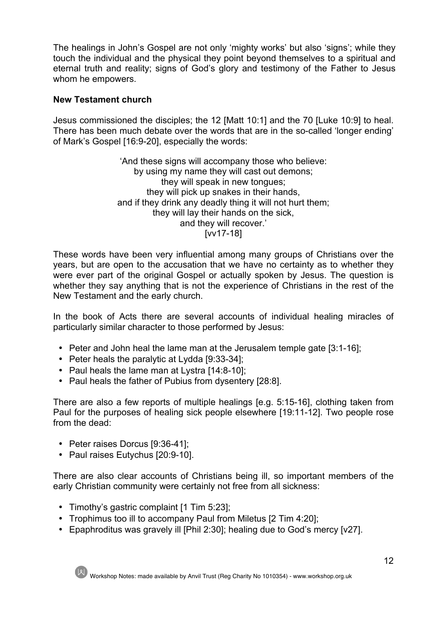The healings in John's Gospel are not only 'mighty works' but also 'signs'; while they touch the individual and the physical they point beyond themselves to a spiritual and eternal truth and reality; signs of God's glory and testimony of the Father to Jesus whom he empowers.

## **New Testament church**

Jesus commissioned the disciples; the 12 [Matt 10:1] and the 70 [Luke 10:9] to heal. There has been much debate over the words that are in the so-called 'longer ending' of Mark's Gospel [16:9-20], especially the words:

> 'And these signs will accompany those who believe: by using my name they will cast out demons; they will speak in new tongues; they will pick up snakes in their hands, and if they drink any deadly thing it will not hurt them; they will lay their hands on the sick, and they will recover.' [vv17-18]

These words have been very influential among many groups of Christians over the years, but are open to the accusation that we have no certainty as to whether they were ever part of the original Gospel or actually spoken by Jesus. The question is whether they say anything that is not the experience of Christians in the rest of the New Testament and the early church.

In the book of Acts there are several accounts of individual healing miracles of particularly similar character to those performed by Jesus:

- Peter and John heal the lame man at the Jerusalem temple gate [3:1-16];
- Peter heals the paralytic at Lydda [9:33-34];
- Paul heals the lame man at Lystra [14:8-10];
- Paul heals the father of Pubius from dysentery [28:8].

There are also a few reports of multiple healings [e.g. 5:15-16], clothing taken from Paul for the purposes of healing sick people elsewhere [19:11-12]. Two people rose from the dead:

- Peter raises Dorcus [9:36-41];
- Paul raises Eutychus [20:9-10].

There are also clear accounts of Christians being ill, so important members of the early Christian community were certainly not free from all sickness:

- Timothy's gastric complaint [1 Tim 5:23];
- Trophimus too ill to accompany Paul from Miletus [2 Tim 4:20];
- Epaphroditus was gravely ill [Phil 2:30]; healing due to God's mercy [v27].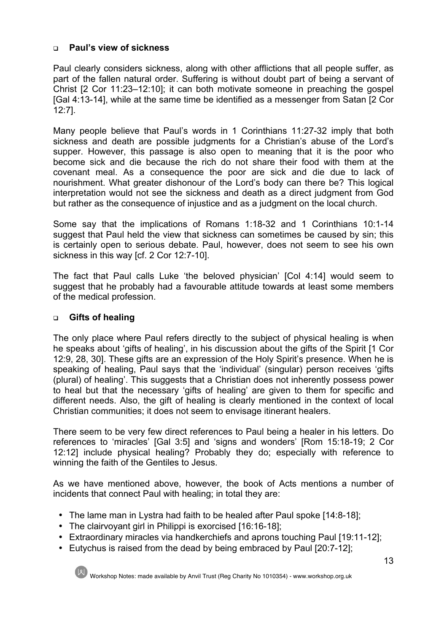# <sup>q</sup> **Paul's view of sickness**

Paul clearly considers sickness, along with other afflictions that all people suffer, as part of the fallen natural order. Suffering is without doubt part of being a servant of Christ [2 Cor 11:23–12:10]; it can both motivate someone in preaching the gospel [Gal 4:13-14], while at the same time be identified as a messenger from Satan [2 Cor 12:7].

Many people believe that Paul's words in 1 Corinthians 11:27-32 imply that both sickness and death are possible judgments for a Christian's abuse of the Lord's supper. However, this passage is also open to meaning that it is the poor who become sick and die because the rich do not share their food with them at the covenant meal. As a consequence the poor are sick and die due to lack of nourishment. What greater dishonour of the Lord's body can there be? This logical interpretation would not see the sickness and death as a direct judgment from God but rather as the consequence of injustice and as a judgment on the local church.

Some say that the implications of Romans 1:18-32 and 1 Corinthians 10:1-14 suggest that Paul held the view that sickness can sometimes be caused by sin; this is certainly open to serious debate. Paul, however, does not seem to see his own sickness in this way [cf. 2 Cor 12:7-10].

The fact that Paul calls Luke 'the beloved physician' [Col 4:14] would seem to suggest that he probably had a favourable attitude towards at least some members of the medical profession.

# <sup>q</sup> **Gifts of healing**

The only place where Paul refers directly to the subject of physical healing is when he speaks about 'gifts of healing', in his discussion about the gifts of the Spirit [1 Cor 12:9, 28, 30]. These gifts are an expression of the Holy Spirit's presence. When he is speaking of healing, Paul says that the 'individual' (singular) person receives 'gifts (plural) of healing'. This suggests that a Christian does not inherently possess power to heal but that the necessary 'gifts of healing' are given to them for specific and different needs. Also, the gift of healing is clearly mentioned in the context of local Christian communities; it does not seem to envisage itinerant healers.

There seem to be very few direct references to Paul being a healer in his letters. Do references to 'miracles' [Gal 3:5] and 'signs and wonders' [Rom 15:18-19; 2 Cor 12:12] include physical healing? Probably they do; especially with reference to winning the faith of the Gentiles to Jesus.

As we have mentioned above, however, the book of Acts mentions a number of incidents that connect Paul with healing; in total they are:

- The lame man in Lystra had faith to be healed after Paul spoke [14:8-18];
- The clairvoyant girl in Philippi is exorcised [16:16-18];
- Extraordinary miracles via handkerchiefs and aprons touching Paul [19:11-12];
- Eutychus is raised from the dead by being embraced by Paul [20:7-12];



Workshop Notes: made available by Anvil Trust (Reg Charity No 1010354) - www.workshop.org.uk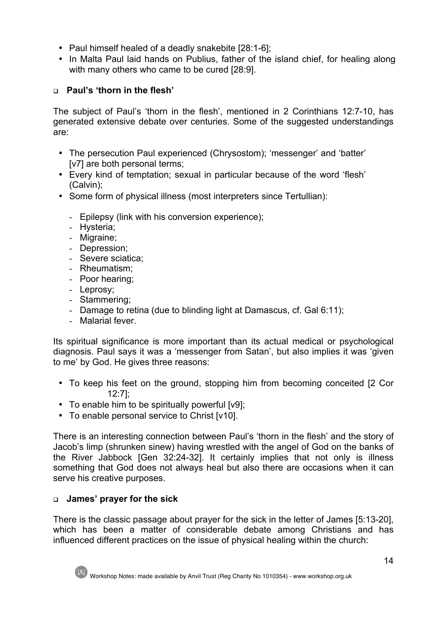- Paul himself healed of a deadly snakebite [28:1-6];
- In Malta Paul laid hands on Publius, father of the island chief, for healing along with many others who came to be cured [28:9].

# <sup>q</sup> **Paul's 'thorn in the flesh'**

The subject of Paul's 'thorn in the flesh', mentioned in 2 Corinthians 12:7-10, has generated extensive debate over centuries. Some of the suggested understandings are:

- The persecution Paul experienced (Chrysostom); 'messenger' and 'batter' [v7] are both personal terms;
- Every kind of temptation; sexual in particular because of the word 'flesh' (Calvin);
- Some form of physical illness (most interpreters since Tertullian):
	- Epilepsy (link with his conversion experience);
	- Hysteria;
	- Migraine;
	- Depression;
	- Severe sciatica;
	- Rheumatism;
	- Poor hearing;
	- Leprosy;
	- Stammering;
	- Damage to retina (due to blinding light at Damascus, cf. Gal 6:11);
	- Malarial fever.

Its spiritual significance is more important than its actual medical or psychological diagnosis. Paul says it was a 'messenger from Satan', but also implies it was 'given to me' by God. He gives three reasons:

- To keep his feet on the ground, stopping him from becoming conceited [2 Cor 12:7];
- To enable him to be spiritually powerful [v9];
- To enable personal service to Christ [v10].

There is an interesting connection between Paul's 'thorn in the flesh' and the story of Jacob's limp (shrunken sinew) having wrestled with the angel of God on the banks of the River Jabbock [Gen 32:24-32]. It certainly implies that not only is illness something that God does not always heal but also there are occasions when it can serve his creative purposes.

# <sup>q</sup> **James' prayer for the sick**

There is the classic passage about prayer for the sick in the letter of James [5:13-20], which has been a matter of considerable debate among Christians and has influenced different practices on the issue of physical healing within the church: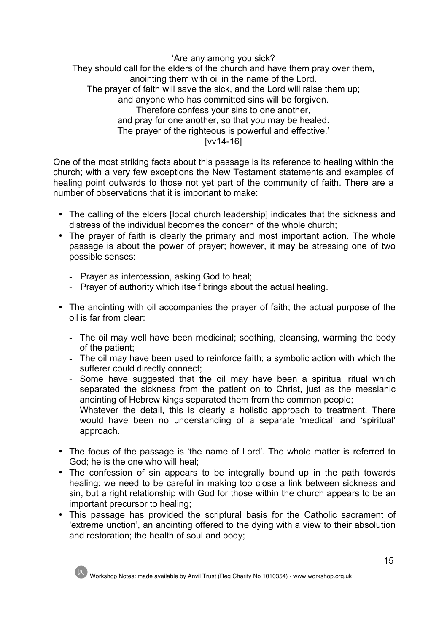'Are any among you sick? They should call for the elders of the church and have them pray over them, anointing them with oil in the name of the Lord. The prayer of faith will save the sick, and the Lord will raise them up; and anyone who has committed sins will be forgiven. Therefore confess your sins to one another, and pray for one another, so that you may be healed. The prayer of the righteous is powerful and effective.' [vv14-16]

One of the most striking facts about this passage is its reference to healing within the church; with a very few exceptions the New Testament statements and examples of healing point outwards to those not yet part of the community of faith. There are a number of observations that it is important to make:

- The calling of the elders [local church leadership] indicates that the sickness and distress of the individual becomes the concern of the whole church;
- The prayer of faith is clearly the primary and most important action. The whole passage is about the power of prayer; however, it may be stressing one of two possible senses:
	- Prayer as intercession, asking God to heal;
	- Prayer of authority which itself brings about the actual healing.
- The anointing with oil accompanies the prayer of faith; the actual purpose of the oil is far from clear:
	- The oil may well have been medicinal; soothing, cleansing, warming the body of the patient;
	- The oil may have been used to reinforce faith; a symbolic action with which the sufferer could directly connect:
	- Some have suggested that the oil may have been a spiritual ritual which separated the sickness from the patient on to Christ, just as the messianic anointing of Hebrew kings separated them from the common people;
	- Whatever the detail, this is clearly a holistic approach to treatment. There would have been no understanding of a separate 'medical' and 'spiritual' approach.
- The focus of the passage is 'the name of Lord'. The whole matter is referred to God; he is the one who will heal;
- The confession of sin appears to be integrally bound up in the path towards healing; we need to be careful in making too close a link between sickness and sin, but a right relationship with God for those within the church appears to be an important precursor to healing;
- This passage has provided the scriptural basis for the Catholic sacrament of 'extreme unction', an anointing offered to the dying with a view to their absolution and restoration; the health of soul and body;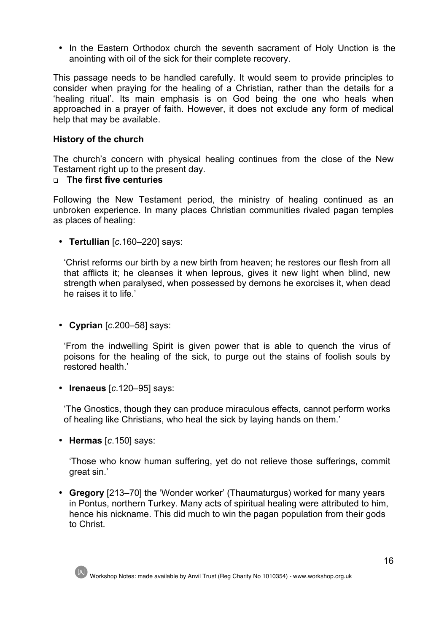• In the Eastern Orthodox church the seventh sacrament of Holy Unction is the anointing with oil of the sick for their complete recovery.

This passage needs to be handled carefully. It would seem to provide principles to consider when praying for the healing of a Christian, rather than the details for a 'healing ritual'. Its main emphasis is on God being the one who heals when approached in a prayer of faith. However, it does not exclude any form of medical help that may be available.

## **History of the church**

The church's concern with physical healing continues from the close of the New Testament right up to the present day.

#### <sup>q</sup> **The first five centuries**

Following the New Testament period, the ministry of healing continued as an unbroken experience. In many places Christian communities rivaled pagan temples as places of healing:

• **Tertullian** [*c*.160–220] says:

'Christ reforms our birth by a new birth from heaven; he restores our flesh from all that afflicts it; he cleanses it when leprous, gives it new light when blind, new strength when paralysed, when possessed by demons he exorcises it, when dead he raises it to life.'

• **Cyprian** [*c*.200–58] says:

'From the indwelling Spirit is given power that is able to quench the virus of poisons for the healing of the sick, to purge out the stains of foolish souls by restored health.'

• **Irenaeus** [*c*.120–95] says:

'The Gnostics, though they can produce miraculous effects, cannot perform works of healing like Christians, who heal the sick by laying hands on them.'

• **Hermas** [*c*.150] says:

'Those who know human suffering, yet do not relieve those sufferings, commit great sin.'

• **Gregory** [213–70] the 'Wonder worker' (Thaumaturgus) worked for many years in Pontus, northern Turkey. Many acts of spiritual healing were attributed to him, hence his nickname. This did much to win the pagan population from their gods to Christ.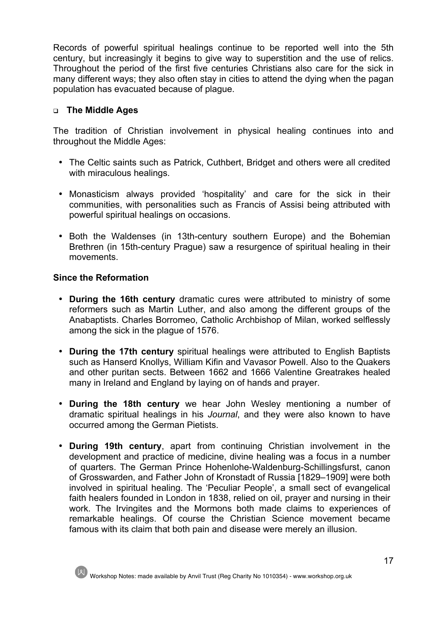Records of powerful spiritual healings continue to be reported well into the 5th century, but increasingly it begins to give way to superstition and the use of relics. Throughout the period of the first five centuries Christians also care for the sick in many different ways; they also often stay in cities to attend the dying when the pagan population has evacuated because of plague.

#### <sup>q</sup> **The Middle Ages**

The tradition of Christian involvement in physical healing continues into and throughout the Middle Ages:

- The Celtic saints such as Patrick, Cuthbert, Bridget and others were all credited with miraculous healings.
- Monasticism always provided 'hospitality' and care for the sick in their communities, with personalities such as Francis of Assisi being attributed with powerful spiritual healings on occasions.
- Both the Waldenses (in 13th-century southern Europe) and the Bohemian Brethren (in 15th-century Prague) saw a resurgence of spiritual healing in their movements.

#### **Since the Reformation**

- **During the 16th century** dramatic cures were attributed to ministry of some reformers such as Martin Luther, and also among the different groups of the Anabaptists. Charles Borromeo, Catholic Archbishop of Milan, worked selflessly among the sick in the plague of 1576.
- **During the 17th century** spiritual healings were attributed to English Baptists such as Hanserd Knollys, William Kifin and Vavasor Powell. Also to the Quakers and other puritan sects. Between 1662 and 1666 Valentine Greatrakes healed many in Ireland and England by laying on of hands and prayer.
- **During the 18th century** we hear John Wesley mentioning a number of dramatic spiritual healings in his *Journal*, and they were also known to have occurred among the German Pietists.
- **During 19th century**, apart from continuing Christian involvement in the development and practice of medicine, divine healing was a focus in a number of quarters. The German Prince Hohenlohe-Waldenburg-Schillingsfurst, canon of Grosswarden, and Father John of Kronstadt of Russia [1829–1909] were both involved in spiritual healing. The 'Peculiar People', a small sect of evangelical faith healers founded in London in 1838, relied on oil, prayer and nursing in their work. The Irvingites and the Mormons both made claims to experiences of remarkable healings. Of course the Christian Science movement became famous with its claim that both pain and disease were merely an illusion.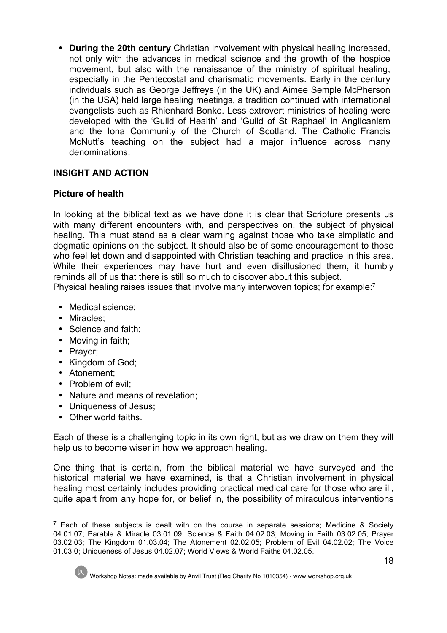• **During the 20th century** Christian involvement with physical healing increased, not only with the advances in medical science and the growth of the hospice movement, but also with the renaissance of the ministry of spiritual healing, especially in the Pentecostal and charismatic movements. Early in the century individuals such as George Jeffreys (in the UK) and Aimee Semple McPherson (in the USA) held large healing meetings, a tradition continued with international evangelists such as Rhienhard Bonke. Less extrovert ministries of healing were developed with the 'Guild of Health' and 'Guild of St Raphael' in Anglicanism and the Iona Community of the Church of Scotland. The Catholic Francis McNutt's teaching on the subject had a major influence across many denominations.

# **INSIGHT AND ACTION**

# **Picture of health**

In looking at the biblical text as we have done it is clear that Scripture presents us with many different encounters with, and perspectives on, the subject of physical healing. This must stand as a clear warning against those who take simplistic and dogmatic opinions on the subject. It should also be of some encouragement to those who feel let down and disappointed with Christian teaching and practice in this area. While their experiences may have hurt and even disillusioned them, it humbly reminds all of us that there is still so much to discover about this subject.

Physical healing raises issues that involve many interwoven topics; for example:7

- Medical science;
- Miracles;
- Science and faith;
- Moving in faith;
- Prayer;
- Kingdom of God;
- Atonement;
- Problem of evil:
- Nature and means of revelation;
- Uniqueness of Jesus;
- Other world faiths

Each of these is a challenging topic in its own right, but as we draw on them they will help us to become wiser in how we approach healing.

One thing that is certain, from the biblical material we have surveyed and the historical material we have examined, is that a Christian involvement in physical healing most certainly includes providing practical medical care for those who are ill, quite apart from any hope for, or belief in, the possibility of miraculous interventions

 $<sup>7</sup>$  Each of these subjects is dealt with on the course in separate sessions: Medicine & Society</sup> 04.01.07; Parable & Miracle 03.01.09; Science & Faith 04.02.03; Moving in Faith 03.02.05; Prayer 03.02.03; The Kingdom 01.03.04; The Atonement 02.02.05; Problem of Evil 04.02.02; The Voice 01.03.0; Uniqueness of Jesus 04.02.07; World Views & World Faiths 04.02.05.



Workshop Notes: made available by Anvil Trust (Reg Charity No 1010354) - www.workshop.org.uk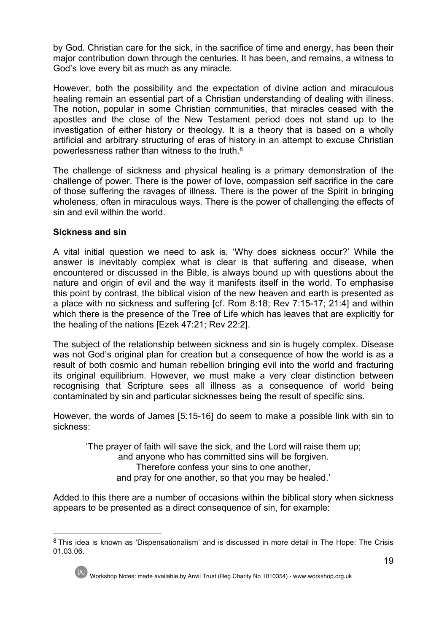by God. Christian care for the sick, in the sacrifice of time and energy, has been their major contribution down through the centuries. It has been, and remains, a witness to God's love every bit as much as any miracle.

However, both the possibility and the expectation of divine action and miraculous healing remain an essential part of a Christian understanding of dealing with illness. The notion, popular in some Christian communities, that miracles ceased with the apostles and the close of the New Testament period does not stand up to the investigation of either history or theology. It is a theory that is based on a wholly artificial and arbitrary structuring of eras of history in an attempt to excuse Christian powerlessness rather than witness to the truth.8

The challenge of sickness and physical healing is a primary demonstration of the challenge of power. There is the power of love, compassion self sacrifice in the care of those suffering the ravages of illness. There is the power of the Spirit in bringing wholeness, often in miraculous ways. There is the power of challenging the effects of sin and evil within the world.

#### **Sickness and sin**

A vital initial question we need to ask is, 'Why does sickness occur?' While the answer is inevitably complex what is clear is that suffering and disease, when encountered or discussed in the Bible, is always bound up with questions about the nature and origin of evil and the way it manifests itself in the world. To emphasise this point by contrast, the biblical vision of the new heaven and earth is presented as a place with no sickness and suffering [cf. Rom 8:18; Rev 7:15-17; 21:4] and within which there is the presence of the Tree of Life which has leaves that are explicitly for the healing of the nations [Ezek 47:21; Rev 22:2].

The subject of the relationship between sickness and sin is hugely complex. Disease was not God's original plan for creation but a consequence of how the world is as a result of both cosmic and human rebellion bringing evil into the world and fracturing its original equilibrium. However, we must make a very clear distinction between recognising that Scripture sees all illness as a consequence of world being contaminated by sin and particular sicknesses being the result of specific sins.

However, the words of James [5:15-16] do seem to make a possible link with sin to sickness:

'The prayer of faith will save the sick, and the Lord will raise them up; and anyone who has committed sins will be forgiven. Therefore confess your sins to one another, and pray for one another, so that you may be healed.'

Added to this there are a number of occasions within the biblical story when sickness appears to be presented as a direct consequence of sin, for example:

 <sup>8</sup> This idea is known as 'Dispensationalism' and is discussed in more detail in The Hope: The Crisis 01.03.06.



Workshop Notes: made available by Anvil Trust (Reg Charity No 1010354) - www.workshop.org.uk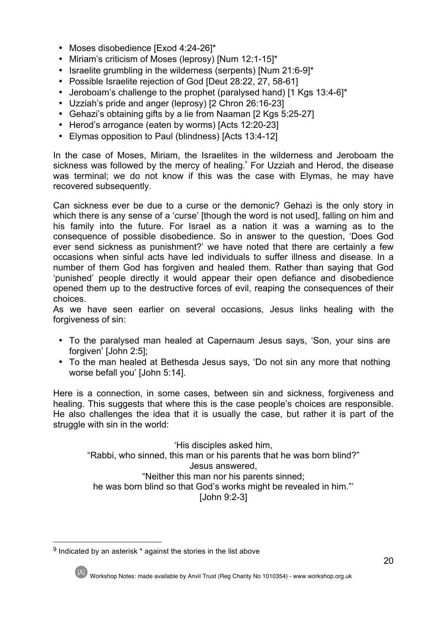- Moses disobedience [Exod 4:24-26]\*
- Miriam's criticism of Moses (leprosy) [Num 12:1-15]\*
- Israelite grumbling in the wilderness (serpents) [Num 21:6-9]\*
- Possible Israelite rejection of God [Deut 28:22, 27, 58-61]
- Jeroboam's challenge to the prophet (paralysed hand) [1 Kgs 13:4-6]\*
- Uzziah's pride and anger (leprosy) [2 Chron 26:16-23]
- Gehazi's obtaining gifts by a lie from Naaman [2 Kgs 5:25-27]
- Herod's arrogance (eaten by worms) [Acts 12:20-23]
- Elymas opposition to Paul (blindness) [Acts 13:4-12]

In the case of Moses, Miriam, the Israelites in the wilderness and Jeroboam the sickness was followed by the mercy of healing. For Uzziah and Herod, the disease was terminal; we do not know if this was the case with Elymas, he may have recovered subsequently.

Can sickness ever be due to a curse or the demonic? Gehazi is the only story in which there is any sense of a 'curse' [though the word is not used], falling on him and his family into the future. For Israel as a nation it was a warning as to the consequence of possible disobedience. So in answer to the question, 'Does God ever send sickness as punishment?' we have noted that there are certainly a few occasions when sinful acts have led individuals to suffer illness and disease. In a number of them God has forgiven and healed them. Rather than saying that God 'punished' people directly it would appear their open defiance and disobedience opened them up to the destructive forces of evil, reaping the consequences of their choices.

As we have seen earlier on several occasions, Jesus links healing with the forgiveness of sin:

- To the paralysed man healed at Capernaum Jesus says, 'Son, your sins are forgiven' [John 2:5];
- To the man healed at Bethesda Jesus says, 'Do not sin any more that nothing worse befall you' [John 5:14].

Here is a connection, in some cases, between sin and sickness, forgiveness and healing. This suggests that where this is the case people's choices are responsible. He also challenges the idea that it is usually the case, but rather it is part of the struggle with sin in the world:

'His disciples asked him, "Rabbi, who sinned, this man or his parents that he was born blind?" Jesus answered, "Neither this man nor his parents sinned; he was born blind so that God's works might be revealed in him."' [John 9:2-3]

 $9$  Indicated by an asterisk  $*$  against the stories in the list above

Workshop Notes: made available by Anvil Trust (Reg Charity No 1010354) - www.workshop.org.uk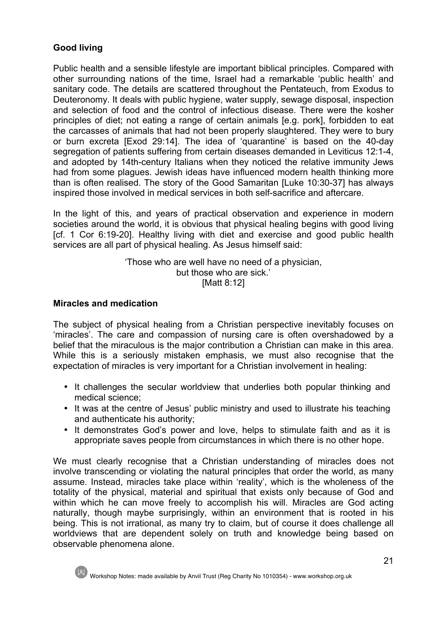# **Good living**

Public health and a sensible lifestyle are important biblical principles. Compared with other surrounding nations of the time, Israel had a remarkable 'public health' and sanitary code. The details are scattered throughout the Pentateuch, from Exodus to Deuteronomy. It deals with public hygiene, water supply, sewage disposal, inspection and selection of food and the control of infectious disease. There were the kosher principles of diet; not eating a range of certain animals [e.g. pork], forbidden to eat the carcasses of animals that had not been properly slaughtered. They were to bury or burn excreta [Exod 29:14]. The idea of 'quarantine' is based on the 40-day segregation of patients suffering from certain diseases demanded in Leviticus 12:1-4, and adopted by 14th-century Italians when they noticed the relative immunity Jews had from some plagues. Jewish ideas have influenced modern health thinking more than is often realised. The story of the Good Samaritan [Luke 10:30-37] has always inspired those involved in medical services in both self-sacrifice and aftercare.

In the light of this, and years of practical observation and experience in modern societies around the world, it is obvious that physical healing begins with good living [cf. 1 Cor 6:19-20]. Healthy living with diet and exercise and good public health services are all part of physical healing. As Jesus himself said:

> 'Those who are well have no need of a physician, but those who are sick.' [Matt 8:12]

#### **Miracles and medication**

The subject of physical healing from a Christian perspective inevitably focuses on 'miracles'. The care and compassion of nursing care is often overshadowed by a belief that the miraculous is the major contribution a Christian can make in this area. While this is a seriously mistaken emphasis, we must also recognise that the expectation of miracles is very important for a Christian involvement in healing:

- It challenges the secular worldview that underlies both popular thinking and medical science;
- It was at the centre of Jesus' public ministry and used to illustrate his teaching and authenticate his authority;
- It demonstrates God's power and love, helps to stimulate faith and as it is appropriate saves people from circumstances in which there is no other hope.

We must clearly recognise that a Christian understanding of miracles does not involve transcending or violating the natural principles that order the world, as many assume. Instead, miracles take place within 'reality', which is the wholeness of the totality of the physical, material and spiritual that exists only because of God and within which he can move freely to accomplish his will. Miracles are God acting naturally, though maybe surprisingly, within an environment that is rooted in his being. This is not irrational, as many try to claim, but of course it does challenge all worldviews that are dependent solely on truth and knowledge being based on observable phenomena alone.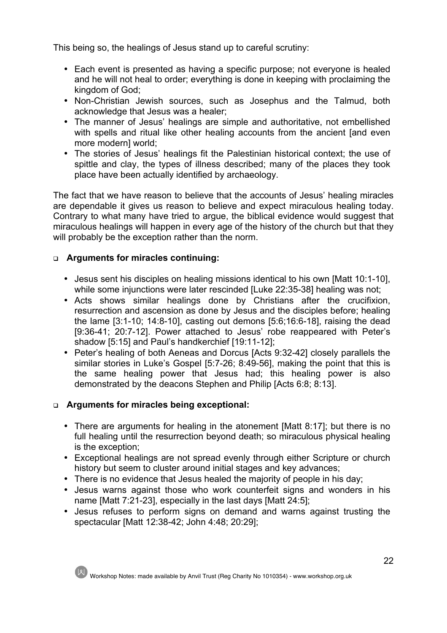This being so, the healings of Jesus stand up to careful scrutiny:

- Each event is presented as having a specific purpose; not everyone is healed and he will not heal to order; everything is done in keeping with proclaiming the kingdom of God;
- Non-Christian Jewish sources, such as Josephus and the Talmud, both acknowledge that Jesus was a healer;
- The manner of Jesus' healings are simple and authoritative, not embellished with spells and ritual like other healing accounts from the ancient [and even more modern] world;
- The stories of Jesus' healings fit the Palestinian historical context; the use of spittle and clay, the types of illness described; many of the places they took place have been actually identified by archaeology.

The fact that we have reason to believe that the accounts of Jesus' healing miracles are dependable it gives us reason to believe and expect miraculous healing today. Contrary to what many have tried to argue, the biblical evidence would suggest that miraculous healings will happen in every age of the history of the church but that they will probably be the exception rather than the norm.

# <sup>q</sup> **Arguments for miracles continuing:**

- Jesus sent his disciples on healing missions identical to his own [Matt 10:1-10], while some injunctions were later rescinded [Luke 22:35-38] healing was not;
- Acts shows similar healings done by Christians after the crucifixion, resurrection and ascension as done by Jesus and the disciples before; healing the lame [3:1-10; 14:8-10], casting out demons [5:6;16:6-18], raising the dead [9:36-41; 20:7-12]. Power attached to Jesus' robe reappeared with Peter's shadow [5:15] and Paul's handkerchief [19:11-12];
- Peter's healing of both Aeneas and Dorcus [Acts 9:32-42] closely parallels the similar stories in Luke's Gospel [5:7-26; 8:49-56], making the point that this is the same healing power that Jesus had; this healing power is also demonstrated by the deacons Stephen and Philip [Acts 6:8; 8:13].

# <sup>q</sup> **Arguments for miracles being exceptional:**

- There are arguments for healing in the atonement [Matt 8:17]; but there is no full healing until the resurrection beyond death; so miraculous physical healing is the exception;
- Exceptional healings are not spread evenly through either Scripture or church history but seem to cluster around initial stages and key advances;
- There is no evidence that Jesus healed the majority of people in his day;
- Jesus warns against those who work counterfeit signs and wonders in his name [Matt 7:21-23], especially in the last days [Matt 24:5];
- Jesus refuses to perform signs on demand and warns against trusting the spectacular [Matt 12:38-42; John 4:48; 20:29];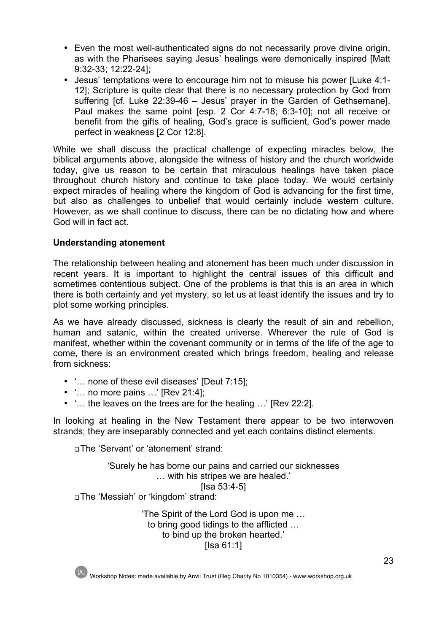- Even the most well-authenticated signs do not necessarily prove divine origin, as with the Pharisees saying Jesus' healings were demonically inspired [Matt 9:32-33; 12:22-24];
- Jesus' temptations were to encourage him not to misuse his power [Luke 4:1- 12]; Scripture is quite clear that there is no necessary protection by God from suffering [cf. Luke 22:39-46 – Jesus' prayer in the Garden of Gethsemane]. Paul makes the same point [esp. 2 Cor 4:7-18; 6:3-10]; not all receive or benefit from the gifts of healing, God's grace is sufficient, God's power made perfect in weakness [2 Cor 12:8].

While we shall discuss the practical challenge of expecting miracles below, the biblical arguments above, alongside the witness of history and the church worldwide today, give us reason to be certain that miraculous healings have taken place throughout church history and continue to take place today. We would certainly expect miracles of healing where the kingdom of God is advancing for the first time, but also as challenges to unbelief that would certainly include western culture. However, as we shall continue to discuss, there can be no dictating how and where God will in fact act.

#### **Understanding atonement**

The relationship between healing and atonement has been much under discussion in recent years. It is important to highlight the central issues of this difficult and sometimes contentious subject. One of the problems is that this is an area in which there is both certainty and yet mystery, so let us at least identify the issues and try to plot some working principles.

As we have already discussed, sickness is clearly the result of sin and rebellion, human and satanic, within the created universe. Wherever the rule of God is manifest, whether within the covenant community or in terms of the life of the age to come, there is an environment created which brings freedom, healing and release from sickness:

- '… none of these evil diseases' [Deut 7:15];
- '… no more pains …' [Rev 21:4];
- '… the leaves on the trees are for the healing …' [Rev 22:2].

In looking at healing in the New Testament there appear to be two interwoven strands; they are inseparably connected and yet each contains distinct elements.

<sup>q</sup>The 'Servant' or 'atonement' strand:

'Surely he has borne our pains and carried our sicknesses … with his stripes we are healed.' [Isa 53:4-5] <sup>q</sup>The 'Messiah' or 'kingdom' strand:

> 'The Spirit of the Lord God is upon me … to bring good tidings to the afflicted … to bind up the broken hearted.' [Isa 61:1]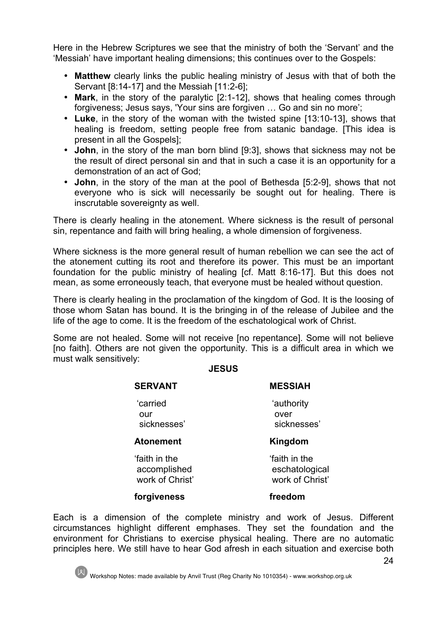Here in the Hebrew Scriptures we see that the ministry of both the 'Servant' and the 'Messiah' have important healing dimensions; this continues over to the Gospels:

- **Matthew** clearly links the public healing ministry of Jesus with that of both the Servant [8:14-17] and the Messiah [11:2-6];
- **Mark**, in the story of the paralytic [2:1-12], shows that healing comes through forgiveness; Jesus says, 'Your sins are forgiven … Go and sin no more';
- **Luke**, in the story of the woman with the twisted spine [13:10-13], shows that healing is freedom, setting people free from satanic bandage. [This idea is present in all the Gospels];
- **John**, in the story of the man born blind [9:3], shows that sickness may not be the result of direct personal sin and that in such a case it is an opportunity for a demonstration of an act of God;
- **John**, in the story of the man at the pool of Bethesda [5:2-9], shows that not everyone who is sick will necessarily be sought out for healing. There is inscrutable sovereignty as well.

There is clearly healing in the atonement. Where sickness is the result of personal sin, repentance and faith will bring healing, a whole dimension of forgiveness.

Where sickness is the more general result of human rebellion we can see the act of the atonement cutting its root and therefore its power. This must be an important foundation for the public ministry of healing [cf. Matt 8:16-17]. But this does not mean, as some erroneously teach, that everyone must be healed without question.

There is clearly healing in the proclamation of the kingdom of God. It is the loosing of those whom Satan has bound. It is the bringing in of the release of Jubilee and the life of the age to come. It is the freedom of the eschatological work of Christ.

Some are not healed. Some will not receive [no repentance]. Some will not believe [no faith]. Others are not given the opportunity. This is a difficult area in which we must walk sensitively:

#### **JESUS**

| <b>SERVANT</b>                                  | <b>MESSIAH</b>                                    |
|-------------------------------------------------|---------------------------------------------------|
| 'carried<br>our<br>sicknesses'                  | 'authority<br>over<br>sicknesses'                 |
| <b>Atonement</b>                                | Kingdom                                           |
| faith in the<br>accomplished<br>work of Christ' | faith in the<br>eschatological<br>work of Christ' |
| forgiveness                                     | freedom                                           |

Each is a dimension of the complete ministry and work of Jesus. Different circumstances highlight different emphases. They set the foundation and the environment for Christians to exercise physical healing. There are no automatic principles here. We still have to hear God afresh in each situation and exercise both

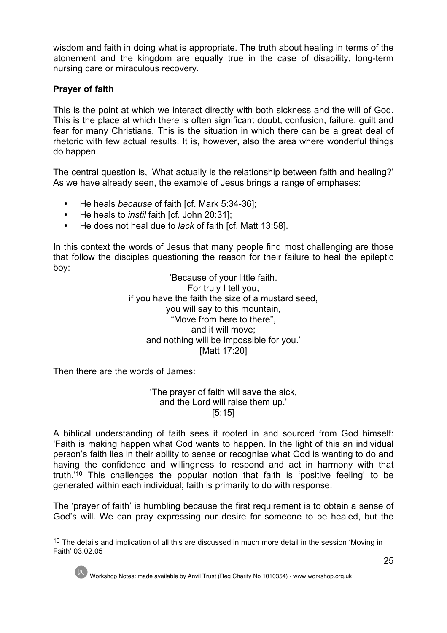wisdom and faith in doing what is appropriate. The truth about healing in terms of the atonement and the kingdom are equally true in the case of disability, long-term nursing care or miraculous recovery.

# **Prayer of faith**

This is the point at which we interact directly with both sickness and the will of God. This is the place at which there is often significant doubt, confusion, failure, guilt and fear for many Christians. This is the situation in which there can be a great deal of rhetoric with few actual results. It is, however, also the area where wonderful things do happen.

The central question is, 'What actually is the relationship between faith and healing?' As we have already seen, the example of Jesus brings a range of emphases:

- He heals *because* of faith [cf. Mark 5:34-36];
- He heals to *instil* faith [cf. John 20:31];
- He does not heal due to *lack* of faith [cf. Matt 13:58].

In this context the words of Jesus that many people find most challenging are those that follow the disciples questioning the reason for their failure to heal the epileptic boy:

'Because of your little faith. For truly I tell you, if you have the faith the size of a mustard seed, you will say to this mountain, "Move from here to there", and it will move; and nothing will be impossible for you.' [Matt 17:20]

Then there are the words of James:

#### 'The prayer of faith will save the sick, and the Lord will raise them up.' [5:15]

A biblical understanding of faith sees it rooted in and sourced from God himself: 'Faith is making happen what God wants to happen. In the light of this an individual person's faith lies in their ability to sense or recognise what God is wanting to do and having the confidence and willingness to respond and act in harmony with that truth.'10 This challenges the popular notion that faith is 'positive feeling' to be generated within each individual; faith is primarily to do with response.

The 'prayer of faith' is humbling because the first requirement is to obtain a sense of God's will. We can pray expressing our desire for someone to be healed, but the

<sup>&</sup>lt;sup>10</sup> The details and implication of all this are discussed in much more detail in the session 'Moving in Faith' 03.02.05



Workshop Notes: made available by Anvil Trust (Reg Charity No 1010354) - www.workshop.org.uk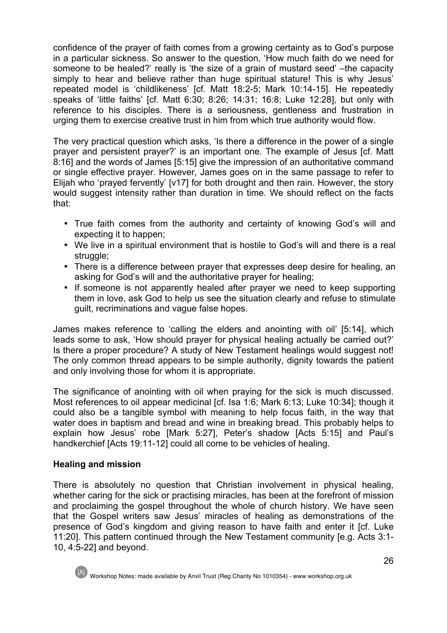confidence of the prayer of faith comes from a growing certainty as to God's purpose in a particular sickness. So answer to the question, 'How much faith do we need for someone to be healed?' really is 'the size of a grain of mustard seed' –the capacity simply to hear and believe rather than huge spiritual stature! This is why Jesus' repeated model is 'childlikeness' [cf. Matt 18:2-5; Mark 10:14-15]. He repeatedly speaks of 'little faiths' [cf. Matt 6:30; 8:26; 14:31; 16:8; Luke 12:28], but only with reference to his disciples. There is a seriousness, gentleness and frustration in urging them to exercise creative trust in him from which true authority would flow.

The very practical question which asks, 'Is there a difference in the power of a single prayer and persistent prayer?' is an important one. The example of Jesus [cf. Matt 8:16] and the words of James [5:15] give the impression of an authoritative command or single effective prayer. However, James goes on in the same passage to refer to Elijah who 'prayed fervently' [v17] for both drought and then rain. However, the story would suggest intensity rather than duration in time. We should reflect on the facts that:

- True faith comes from the authority and certainty of knowing God's will and expecting it to happen;
- We live in a spiritual environment that is hostile to God's will and there is a real struggle;
- There is a difference between prayer that expresses deep desire for healing, an asking for God's will and the authoritative prayer for healing;
- If someone is not apparently healed after prayer we need to keep supporting them in love, ask God to help us see the situation clearly and refuse to stimulate guilt, recriminations and vague false hopes.

James makes reference to 'calling the elders and anointing with oil' [5:14], which leads some to ask, 'How should prayer for physical healing actually be carried out?' Is there a proper procedure? A study of New Testament healings would suggest not! The only common thread appears to be simple authority, dignity towards the patient and only involving those for whom it is appropriate.

The significance of anointing with oil when praying for the sick is much discussed. Most references to oil appear medicinal [cf. Isa 1:6; Mark 6:13; Luke 10:34]; though it could also be a tangible symbol with meaning to help focus faith, in the way that water does in baptism and bread and wine in breaking bread. This probably helps to explain how Jesus' robe [Mark 5:27], Peter's shadow [Acts 5:15] and Paul's handkerchief [Acts 19:11-12] could all come to be vehicles of healing.

# **Healing and mission**

There is absolutely no question that Christian involvement in physical healing, whether caring for the sick or practising miracles, has been at the forefront of mission and proclaiming the gospel throughout the whole of church history. We have seen that the Gospel writers saw Jesus' miracles of healing as demonstrations of the presence of God's kingdom and giving reason to have faith and enter it [cf. Luke 11:20]. This pattern continued through the New Testament community [e.g. Acts 3:1- 10, 4:5-22] and beyond.

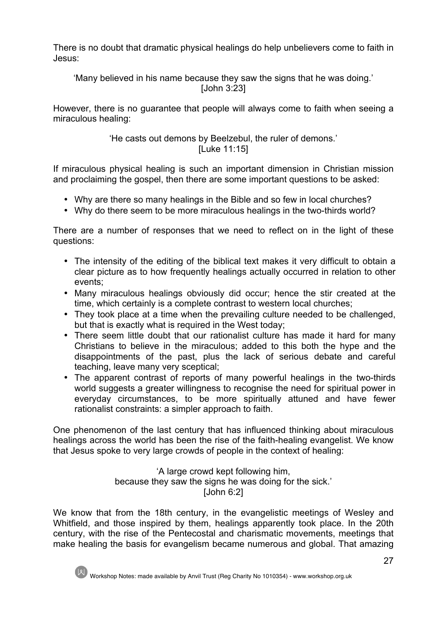There is no doubt that dramatic physical healings do help unbelievers come to faith in Jesus:

'Many believed in his name because they saw the signs that he was doing.' [John 3:23]

However, there is no guarantee that people will always come to faith when seeing a miraculous healing:

# 'He casts out demons by Beelzebul, the ruler of demons.' [Luke 11:15]

If miraculous physical healing is such an important dimension in Christian mission and proclaiming the gospel, then there are some important questions to be asked:

- Why are there so many healings in the Bible and so few in local churches?
- Why do there seem to be more miraculous healings in the two-thirds world?

There are a number of responses that we need to reflect on in the light of these questions:

- The intensity of the editing of the biblical text makes it very difficult to obtain a clear picture as to how frequently healings actually occurred in relation to other events;
- Many miraculous healings obviously did occur; hence the stir created at the time, which certainly is a complete contrast to western local churches;
- They took place at a time when the prevailing culture needed to be challenged, but that is exactly what is required in the West today;
- There seem little doubt that our rationalist culture has made it hard for many Christians to believe in the miraculous; added to this both the hype and the disappointments of the past, plus the lack of serious debate and careful teaching, leave many very sceptical;
- The apparent contrast of reports of many powerful healings in the two-thirds world suggests a greater willingness to recognise the need for spiritual power in everyday circumstances, to be more spiritually attuned and have fewer rationalist constraints: a simpler approach to faith.

One phenomenon of the last century that has influenced thinking about miraculous healings across the world has been the rise of the faith-healing evangelist. We know that Jesus spoke to very large crowds of people in the context of healing:

> 'A large crowd kept following him, because they saw the signs he was doing for the sick.' [John 6:2]

We know that from the 18th century, in the evangelistic meetings of Wesley and Whitfield, and those inspired by them, healings apparently took place. In the 20th century, with the rise of the Pentecostal and charismatic movements, meetings that make healing the basis for evangelism became numerous and global. That amazing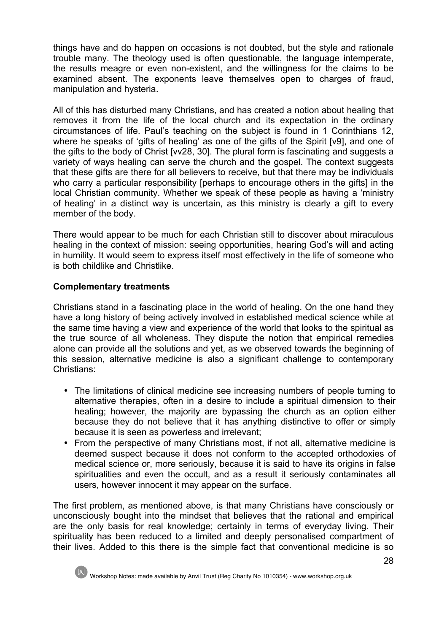things have and do happen on occasions is not doubted, but the style and rationale trouble many. The theology used is often questionable, the language intemperate, the results meagre or even non-existent, and the willingness for the claims to be examined absent. The exponents leave themselves open to charges of fraud, manipulation and hysteria.

All of this has disturbed many Christians, and has created a notion about healing that removes it from the life of the local church and its expectation in the ordinary circumstances of life. Paul's teaching on the subject is found in 1 Corinthians 12, where he speaks of 'gifts of healing' as one of the gifts of the Spirit [v9], and one of the gifts to the body of Christ [vv28, 30]. The plural form is fascinating and suggests a variety of ways healing can serve the church and the gospel. The context suggests that these gifts are there for all believers to receive, but that there may be individuals who carry a particular responsibility [perhaps to encourage others in the gifts] in the local Christian community. Whether we speak of these people as having a 'ministry of healing' in a distinct way is uncertain, as this ministry is clearly a gift to every member of the body.

There would appear to be much for each Christian still to discover about miraculous healing in the context of mission: seeing opportunities, hearing God's will and acting in humility. It would seem to express itself most effectively in the life of someone who is both childlike and Christlike.

# **Complementary treatments**

Christians stand in a fascinating place in the world of healing. On the one hand they have a long history of being actively involved in established medical science while at the same time having a view and experience of the world that looks to the spiritual as the true source of all wholeness. They dispute the notion that empirical remedies alone can provide all the solutions and yet, as we observed towards the beginning of this session, alternative medicine is also a significant challenge to contemporary Christians:

- The limitations of clinical medicine see increasing numbers of people turning to alternative therapies, often in a desire to include a spiritual dimension to their healing; however, the majority are bypassing the church as an option either because they do not believe that it has anything distinctive to offer or simply because it is seen as powerless and irrelevant;
- From the perspective of many Christians most, if not all, alternative medicine is deemed suspect because it does not conform to the accepted orthodoxies of medical science or, more seriously, because it is said to have its origins in false spiritualities and even the occult, and as a result it seriously contaminates all users, however innocent it may appear on the surface.

The first problem, as mentioned above, is that many Christians have consciously or unconsciously bought into the mindset that believes that the rational and empirical are the only basis for real knowledge; certainly in terms of everyday living. Their spirituality has been reduced to a limited and deeply personalised compartment of their lives. Added to this there is the simple fact that conventional medicine is so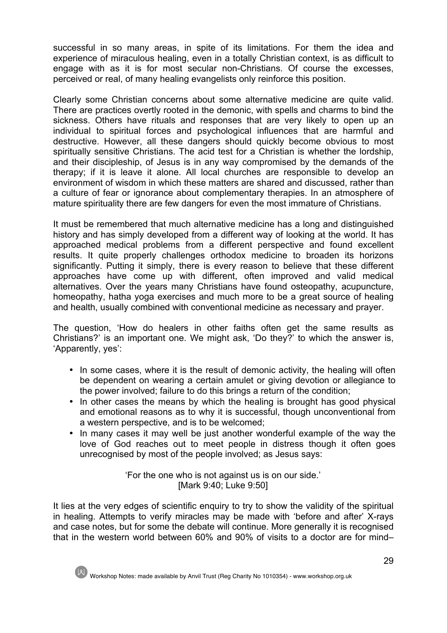successful in so many areas, in spite of its limitations. For them the idea and experience of miraculous healing, even in a totally Christian context, is as difficult to engage with as it is for most secular non-Christians. Of course the excesses, perceived or real, of many healing evangelists only reinforce this position.

Clearly some Christian concerns about some alternative medicine are quite valid. There are practices overtly rooted in the demonic, with spells and charms to bind the sickness. Others have rituals and responses that are very likely to open up an individual to spiritual forces and psychological influences that are harmful and destructive. However, all these dangers should quickly become obvious to most spiritually sensitive Christians. The acid test for a Christian is whether the lordship, and their discipleship, of Jesus is in any way compromised by the demands of the therapy; if it is leave it alone. All local churches are responsible to develop an environment of wisdom in which these matters are shared and discussed, rather than a culture of fear or ignorance about complementary therapies. In an atmosphere of mature spirituality there are few dangers for even the most immature of Christians.

It must be remembered that much alternative medicine has a long and distinguished history and has simply developed from a different way of looking at the world. It has approached medical problems from a different perspective and found excellent results. It quite properly challenges orthodox medicine to broaden its horizons significantly. Putting it simply, there is every reason to believe that these different approaches have come up with different, often improved and valid medical alternatives. Over the years many Christians have found osteopathy, acupuncture, homeopathy, hatha yoga exercises and much more to be a great source of healing and health, usually combined with conventional medicine as necessary and prayer.

The question, 'How do healers in other faiths often get the same results as Christians?' is an important one. We might ask, 'Do they?' to which the answer is, 'Apparently, yes':

- In some cases, where it is the result of demonic activity, the healing will often be dependent on wearing a certain amulet or giving devotion or allegiance to the power involved; failure to do this brings a return of the condition;
- In other cases the means by which the healing is brought has good physical and emotional reasons as to why it is successful, though unconventional from a western perspective, and is to be welcomed;
- In many cases it may well be just another wonderful example of the way the love of God reaches out to meet people in distress though it often goes unrecognised by most of the people involved; as Jesus says:

'For the one who is not against us is on our side.' [Mark 9:40; Luke 9:50]

It lies at the very edges of scientific enquiry to try to show the validity of the spiritual in healing. Attempts to verify miracles may be made with 'before and after' X-rays and case notes, but for some the debate will continue. More generally it is recognised that in the western world between 60% and 90% of visits to a doctor are for mind–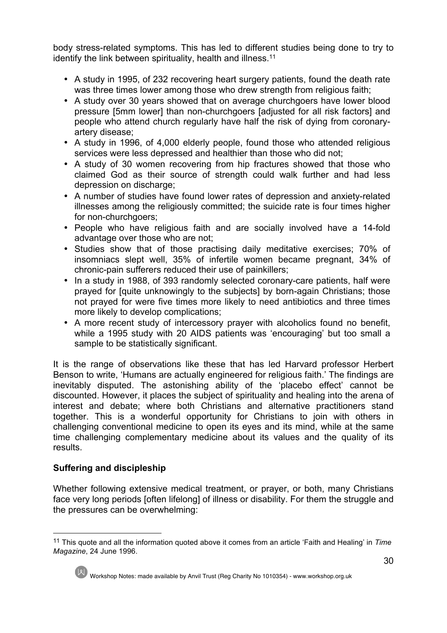body stress-related symptoms. This has led to different studies being done to try to identify the link between spirituality, health and illness.<sup>11</sup>

- A study in 1995, of 232 recovering heart surgery patients, found the death rate was three times lower among those who drew strength from religious faith;
- A study over 30 years showed that on average churchgoers have lower blood pressure [5mm lower] than non-churchgoers [adjusted for all risk factors] and people who attend church regularly have half the risk of dying from coronaryartery disease;
- A study in 1996, of 4,000 elderly people, found those who attended religious services were less depressed and healthier than those who did not;
- A study of 30 women recovering from hip fractures showed that those who claimed God as their source of strength could walk further and had less depression on discharge;
- A number of studies have found lower rates of depression and anxiety-related illnesses among the religiously committed; the suicide rate is four times higher for non-churchgoers;
- People who have religious faith and are socially involved have a 14-fold advantage over those who are not;
- Studies show that of those practising daily meditative exercises; 70% of insomniacs slept well, 35% of infertile women became pregnant, 34% of chronic-pain sufferers reduced their use of painkillers;
- In a study in 1988, of 393 randomly selected coronary-care patients, half were prayed for [quite unknowingly to the subjects] by born-again Christians; those not prayed for were five times more likely to need antibiotics and three times more likely to develop complications;
- A more recent study of intercessory prayer with alcoholics found no benefit, while a 1995 study with 20 AIDS patients was 'encouraging' but too small a sample to be statistically significant.

It is the range of observations like these that has led Harvard professor Herbert Benson to write, 'Humans are actually engineered for religious faith.' The findings are inevitably disputed. The astonishing ability of the 'placebo effect' cannot be discounted. However, it places the subject of spirituality and healing into the arena of interest and debate; where both Christians and alternative practitioners stand together. This is a wonderful opportunity for Christians to join with others in challenging conventional medicine to open its eyes and its mind, while at the same time challenging complementary medicine about its values and the quality of its results.

# **Suffering and discipleship**

Whether following extensive medical treatment, or prayer, or both, many Christians face very long periods [often lifelong] of illness or disability. For them the struggle and the pressures can be overwhelming:

 <sup>11</sup> This quote and all the information quoted above it comes from an article 'Faith and Healing' in *Time Magazine*, 24 June 1996.



Workshop Notes: made available by Anvil Trust (Reg Charity No 1010354) - www.workshop.org.uk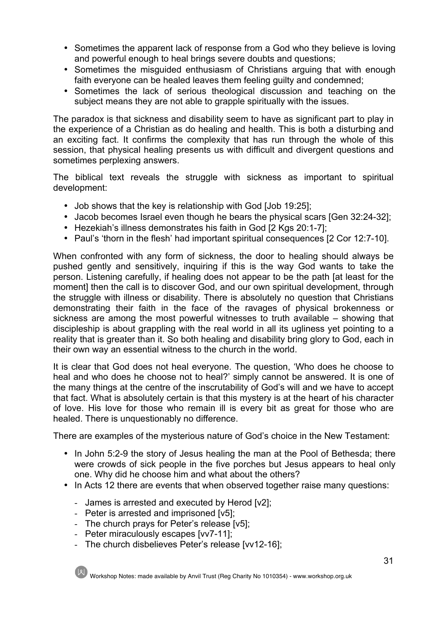- Sometimes the apparent lack of response from a God who they believe is loving and powerful enough to heal brings severe doubts and questions;
- Sometimes the misguided enthusiasm of Christians arguing that with enough faith everyone can be healed leaves them feeling guilty and condemned;
- Sometimes the lack of serious theological discussion and teaching on the subject means they are not able to grapple spiritually with the issues.

The paradox is that sickness and disability seem to have as significant part to play in the experience of a Christian as do healing and health. This is both a disturbing and an exciting fact. It confirms the complexity that has run through the whole of this session, that physical healing presents us with difficult and divergent questions and sometimes perplexing answers.

The biblical text reveals the struggle with sickness as important to spiritual development:

- Job shows that the key is relationship with God [Job 19:25];
- Jacob becomes Israel even though he bears the physical scars [Gen 32:24-32];
- Hezekiah's illness demonstrates his faith in God [2 Kgs 20:1-7];
- Paul's 'thorn in the flesh' had important spiritual consequences [2 Cor 12:7-10].

When confronted with any form of sickness, the door to healing should always be pushed gently and sensitively, inquiring if this is the way God wants to take the person. Listening carefully, if healing does not appear to be the path [at least for the moment] then the call is to discover God, and our own spiritual development, through the struggle with illness or disability. There is absolutely no question that Christians demonstrating their faith in the face of the ravages of physical brokenness or sickness are among the most powerful witnesses to truth available – showing that discipleship is about grappling with the real world in all its ugliness yet pointing to a reality that is greater than it. So both healing and disability bring glory to God, each in their own way an essential witness to the church in the world.

It is clear that God does not heal everyone. The question, 'Who does he choose to heal and who does he choose not to heal?' simply cannot be answered. It is one of the many things at the centre of the inscrutability of God's will and we have to accept that fact. What is absolutely certain is that this mystery is at the heart of his character of love. His love for those who remain ill is every bit as great for those who are healed. There is unquestionably no difference.

There are examples of the mysterious nature of God's choice in the New Testament:

- In John 5:2-9 the story of Jesus healing the man at the Pool of Bethesda; there were crowds of sick people in the five porches but Jesus appears to heal only one. Why did he choose him and what about the others?
- In Acts 12 there are events that when observed together raise many questions:
	- James is arrested and executed by Herod [v2];
	- Peter is arrested and imprisoned [v5];
	- The church prays for Peter's release [v5];
	- Peter miraculously escapes [vv7-11];
	- The church disbelieves Peter's release [vv12-16];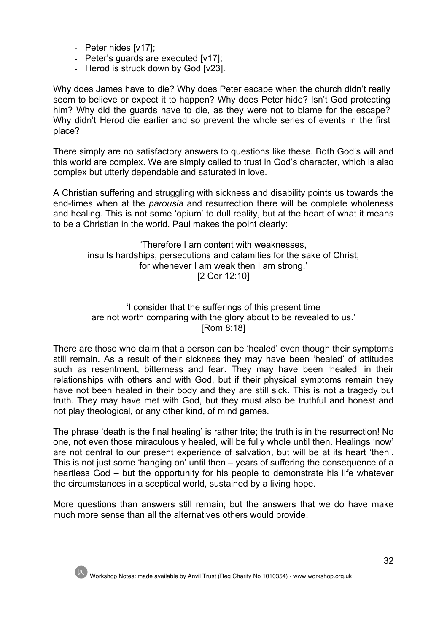- Peter hides [v17];
- Peter's guards are executed [v17];
- Herod is struck down by God [v23].

Why does James have to die? Why does Peter escape when the church didn't really seem to believe or expect it to happen? Why does Peter hide? Isn't God protecting him? Why did the guards have to die, as they were not to blame for the escape? Why didn't Herod die earlier and so prevent the whole series of events in the first place?

There simply are no satisfactory answers to questions like these. Both God's will and this world are complex. We are simply called to trust in God's character, which is also complex but utterly dependable and saturated in love.

A Christian suffering and struggling with sickness and disability points us towards the end-times when at the *parousia* and resurrection there will be complete wholeness and healing. This is not some 'opium' to dull reality, but at the heart of what it means to be a Christian in the world. Paul makes the point clearly:

'Therefore I am content with weaknesses, insults hardships, persecutions and calamities for the sake of Christ; for whenever I am weak then I am strong.' [2 Cor 12:10]

#### 'I consider that the sufferings of this present time are not worth comparing with the glory about to be revealed to us.' [Rom 8:18]

There are those who claim that a person can be 'healed' even though their symptoms still remain. As a result of their sickness they may have been 'healed' of attitudes such as resentment, bitterness and fear. They may have been 'healed' in their relationships with others and with God, but if their physical symptoms remain they have not been healed in their body and they are still sick. This is not a tragedy but truth. They may have met with God, but they must also be truthful and honest and not play theological, or any other kind, of mind games.

The phrase 'death is the final healing' is rather trite; the truth is in the resurrection! No one, not even those miraculously healed, will be fully whole until then. Healings 'now' are not central to our present experience of salvation, but will be at its heart 'then'. This is not just some 'hanging on' until then – years of suffering the consequence of a heartless God – but the opportunity for his people to demonstrate his life whatever the circumstances in a sceptical world, sustained by a living hope.

More questions than answers still remain; but the answers that we do have make much more sense than all the alternatives others would provide.

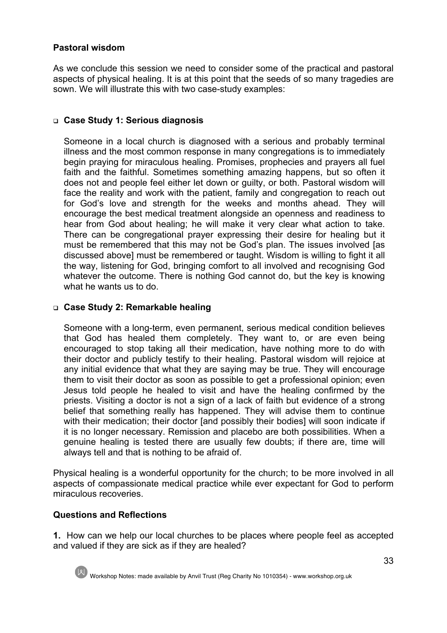# **Pastoral wisdom**

As we conclude this session we need to consider some of the practical and pastoral aspects of physical healing. It is at this point that the seeds of so many tragedies are sown. We will illustrate this with two case-study examples:

#### <sup>q</sup> **Case Study 1: Serious diagnosis**

Someone in a local church is diagnosed with a serious and probably terminal illness and the most common response in many congregations is to immediately begin praying for miraculous healing. Promises, prophecies and prayers all fuel faith and the faithful. Sometimes something amazing happens, but so often it does not and people feel either let down or guilty, or both. Pastoral wisdom will face the reality and work with the patient, family and congregation to reach out for God's love and strength for the weeks and months ahead. They will encourage the best medical treatment alongside an openness and readiness to hear from God about healing; he will make it very clear what action to take. There can be congregational prayer expressing their desire for healing but it must be remembered that this may not be God's plan. The issues involved [as discussed above] must be remembered or taught. Wisdom is willing to fight it all the way, listening for God, bringing comfort to all involved and recognising God whatever the outcome. There is nothing God cannot do, but the key is knowing what he wants us to do.

#### <sup>q</sup> **Case Study 2: Remarkable healing**

Someone with a long-term, even permanent, serious medical condition believes that God has healed them completely. They want to, or are even being encouraged to stop taking all their medication, have nothing more to do with their doctor and publicly testify to their healing. Pastoral wisdom will rejoice at any initial evidence that what they are saying may be true. They will encourage them to visit their doctor as soon as possible to get a professional opinion; even Jesus told people he healed to visit and have the healing confirmed by the priests. Visiting a doctor is not a sign of a lack of faith but evidence of a strong belief that something really has happened. They will advise them to continue with their medication; their doctor [and possibly their bodies] will soon indicate if it is no longer necessary. Remission and placebo are both possibilities. When a genuine healing is tested there are usually few doubts; if there are, time will always tell and that is nothing to be afraid of.

Physical healing is a wonderful opportunity for the church; to be more involved in all aspects of compassionate medical practice while ever expectant for God to perform miraculous recoveries.

# **Questions and Reflections**

**1.** How can we help our local churches to be places where people feel as accepted and valued if they are sick as if they are healed?



Workshop Notes: made available by Anvil Trust (Reg Charity No 1010354) - www.workshop.org.uk